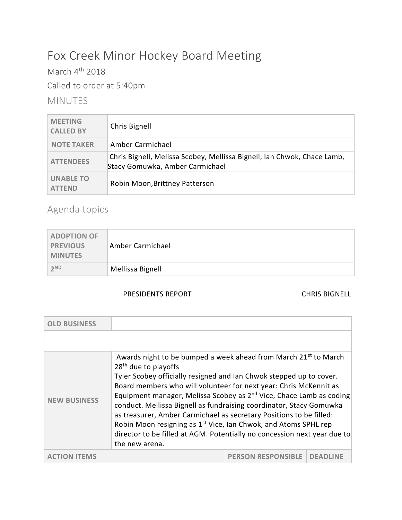# Fox Creek Minor Hockey Board Meeting

March  $4^{\text{th}}$  2018 Called to order at 5:40pm

## MINUTES

| <b>MEETING</b><br><b>CALLED BY</b> | Chris Bignell                                                                                              |
|------------------------------------|------------------------------------------------------------------------------------------------------------|
| <b>NOTE TAKER</b>                  | Amber Carmichael                                                                                           |
| <b>ATTENDEES</b>                   | Chris Bignell, Melissa Scobey, Mellissa Bignell, Ian Chwok, Chace Lamb,<br>Stacy Gomuwka, Amber Carmichael |
| <b>UNABLE TO</b><br><b>ATTFND</b>  | Robin Moon, Brittney Patterson                                                                             |

# Agenda topics

| <b>ADOPTION OF</b><br><b>PREVIOUS</b><br><b>MINUTES</b> | Amber Carmichael |
|---------------------------------------------------------|------------------|
| 2 <sup>ND</sup>                                         | Mellissa Bignell |

### PRESIDENTS REPORT CHRIS BIGNELL

| <b>OLD BUSINESS</b> |                                                                                                                                                                                                                                                                                                                                                                                                                                                                                                                                                                                                                                                                           |                           |             |
|---------------------|---------------------------------------------------------------------------------------------------------------------------------------------------------------------------------------------------------------------------------------------------------------------------------------------------------------------------------------------------------------------------------------------------------------------------------------------------------------------------------------------------------------------------------------------------------------------------------------------------------------------------------------------------------------------------|---------------------------|-------------|
|                     |                                                                                                                                                                                                                                                                                                                                                                                                                                                                                                                                                                                                                                                                           |                           |             |
| <b>NEW BUSINESS</b> | Awards night to be bumped a week ahead from March 21 <sup>st</sup> to March<br>28 <sup>th</sup> due to playoffs<br>Tyler Scobey officially resigned and Ian Chwok stepped up to cover.<br>Board members who will volunteer for next year: Chris McKennit as<br>Equipment manager, Melissa Scobey as 2 <sup>nd</sup> Vice, Chace Lamb as coding<br>conduct. Mellissa Bignell as fundraising coordinator, Stacy Gomuwka<br>as treasurer, Amber Carmichael as secretary Positions to be filled:<br>Robin Moon resigning as 1 <sup>st</sup> Vice, Ian Chwok, and Atoms SPHL rep<br>director to be filled at AGM. Potentially no concession next year due to<br>the new arena. |                           |             |
|                     |                                                                                                                                                                                                                                                                                                                                                                                                                                                                                                                                                                                                                                                                           | <b>PERSON RESPONSIBLE</b> | <b>DEAD</b> |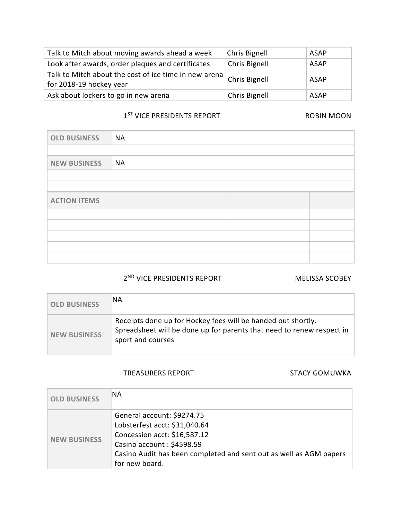| Talk to Mitch about moving awards ahead a week                                                         | Chris Bignell | <b>ASAP</b> |
|--------------------------------------------------------------------------------------------------------|---------------|-------------|
| Look after awards, order plaques and certificates                                                      | Chris Bignell | <b>ASAP</b> |
| Talk to Mitch about the cost of ice time in new arena $\vert$ Chris Bignell<br>for 2018-19 hockey year |               | <b>ASAP</b> |
| Ask about lockers to go in new arena                                                                   | Chris Bignell | ASAP        |

#### 1<sup>ST</sup> VICE PRESIDENTS REPORT **ROBIN MOON**

| <b>OLD BUSINESS</b> | NA        |  |  |  |
|---------------------|-----------|--|--|--|
|                     |           |  |  |  |
| <b>NEW BUSINESS</b> | <b>NA</b> |  |  |  |
|                     |           |  |  |  |
|                     |           |  |  |  |
| <b>ACTION ITEMS</b> |           |  |  |  |
|                     |           |  |  |  |
|                     |           |  |  |  |
|                     |           |  |  |  |
|                     |           |  |  |  |
|                     |           |  |  |  |

### 2<sup>ND</sup> VICE PRESIDENTS REPORT MELISSA SCOBEY

| <b>OLD BUSINESS</b> | ΝA                                                                                                                                                         |
|---------------------|------------------------------------------------------------------------------------------------------------------------------------------------------------|
| <b>NEW BUSINESS</b> | Receipts done up for Hockey fees will be handed out shortly.<br>Spreadsheet will be done up for parents that need to renew respect in<br>sport and courses |

#### TREASURERS REPORT STACY GOMUWKA

| <b>OLD BUSINESS</b> | ΝA                                                                                                                                                                                                               |
|---------------------|------------------------------------------------------------------------------------------------------------------------------------------------------------------------------------------------------------------|
| <b>NEW BUSINESS</b> | General account: \$9274.75<br>Lobsterfest acct: \$31,040.64<br>Concession acct: \$16,587.12<br>Casino account: \$4598.59<br>Casino Audit has been completed and sent out as well as AGM papers<br>for new board. |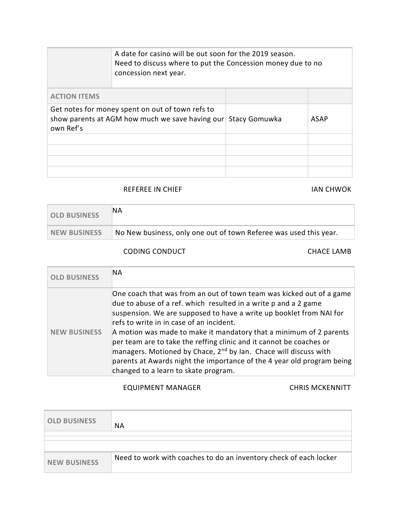|                                                                                                                  | A date for casino will be out soon for the 2019 season.<br>Need to discuss where to put the Concession money due to no<br>concession next year. |                      |             |
|------------------------------------------------------------------------------------------------------------------|-------------------------------------------------------------------------------------------------------------------------------------------------|----------------------|-------------|
| <b>ACTION ITEMS</b>                                                                                              |                                                                                                                                                 |                      |             |
| Get notes for money spent on out of town refs to<br>show parents at AGM how much we save having our<br>own Ref's |                                                                                                                                                 | <b>Stacy Gomuwka</b> | <b>ASAP</b> |
|                                                                                                                  |                                                                                                                                                 |                      |             |
|                                                                                                                  |                                                                                                                                                 |                      |             |
|                                                                                                                  |                                                                                                                                                 |                      |             |
|                                                                                                                  |                                                                                                                                                 |                      |             |

#### REFEREE IN CHIEF **IAN CHWOK**

| <b>OLD BUSINESS</b> | 'NA                                                               |
|---------------------|-------------------------------------------------------------------|
| NEW BUSINESS        | No New business, only one out of town Referee was used this year. |

### CODING CONDUCT CHACE LAMB

| <b>OLD BUSINESS</b> | ΝA                                                                                                                                                                                                                                                                                                                                                                                                                                                                                                                                                                                                        |
|---------------------|-----------------------------------------------------------------------------------------------------------------------------------------------------------------------------------------------------------------------------------------------------------------------------------------------------------------------------------------------------------------------------------------------------------------------------------------------------------------------------------------------------------------------------------------------------------------------------------------------------------|
| <b>NEW BUSINESS</b> | One coach that was from an out of town team was kicked out of a game<br>due to abuse of a ref. which resulted in a write p and a 2 game<br>suspension. We are supposed to have a write up booklet from NAI for<br>refs to write in in case of an incident.<br>A motion was made to make it mandatory that a minimum of 2 parents<br>per team are to take the reffing clinic and it cannot be coaches or<br>managers. Motioned by Chace, 2 <sup>nd</sup> by Ian. Chace will discuss with<br>parents at Awards night the importance of the 4 year old program being<br>changed to a learn to skate program. |

### EQUIPMENT MANAGER CHRIS MCKENNITT

| <b>OLD BUSINESS</b> | <b>NA</b>                                                         |
|---------------------|-------------------------------------------------------------------|
|                     |                                                                   |
|                     |                                                                   |
| <b>NEW BUSINESS</b> | Need to work with coaches to do an inventory check of each locker |